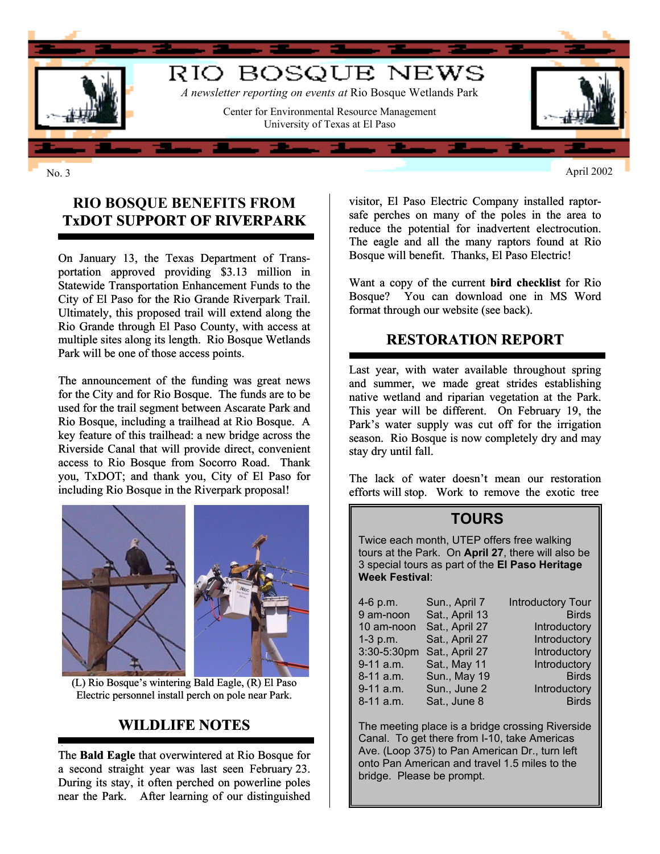

#### **RIO BOSQUE BENEFITS FROM TxDOT SUPPORT OF RIVERPARK**

On January 13, the Texas Department of Transportation approved providing \$3.13 million in Statewide Transportation Enhancement Funds to the City of El Paso for the Rio Grande Riverpark Trail. Ultimately, this proposed trail will extend along the Rio Grande through El Paso County, with access at multiple sites along its length. Rio Bosque Wetlands Park will be one of those access points.

The announcement of the funding was great news for the City and for Rio Bosque. The funds are to be used for the trail segment between Ascarate Park and Rio Bosque, including a trailhead at Rio Bosque. A key feature of this trailhead: a new bridge across the Riverside Canal that will provide direct, convenient access to Rio Bosque from Socorro Road. Thank you, TxDOT; and thank you, City of El Paso for including Rio Bosque in the Riverpark proposal!



(L) Rio Bosque's wintering Bald Eagle, (R) El Paso Electric personnel install perch on pole near Park.

# **WILDLIFE NOTES**

The **Bald Eagle** that overwintered at Rio Bosque for a second straight year was last seen February 23. During its stay, it often perched on powerline poles near the Park. After learning of our distinguished

visitor, El Paso Electric Company installed raptorsafe perches on many of the poles in the area to reduce the potential for inadvertent electrocution. The eagle and all the many raptors found at Rio Bosque will benefit. Thanks, El Paso Electric!

Want a copy of the current **bird checklist** for Rio Bosque? You can download one in MS Word format through our website (see back).

#### **RESTORATION REPORT**

Last year, with water available throughout spring and summer, we made great strides establishing native wetland and riparian vegetation at the Park. This year will be different. On February 19, the Park's water supply was cut off for the irrigation season. Rio Bosque is now completely dry and may stay dry until fall.

The lack of water doesn't mean our restoration efforts will stop. Work to remove the exotic tree

#### **TOURS**

Twice each month, UTEP offers free walking tours at the Park. On **April 27**, there will also be 3 special tours as part of the **El Paso Heritage Week Festival**:

| 4-6 p.m.    | Sun., April 7  | <b>Introductory Tour</b> |
|-------------|----------------|--------------------------|
| 9 am-noon   | Sat., April 13 | <b>Birds</b>             |
| 10 am-noon  | Sat., April 27 | Introductory             |
| $1-3$ p.m.  | Sat., April 27 | Introductory             |
| 3:30-5:30pm | Sat., April 27 | Introductory             |
| 9-11 a.m.   | Sat., May 11   | Introductory             |
| 8-11 a.m.   | Sun., May 19   | <b>Birds</b>             |
| 9-11 a.m.   | Sun., June 2   | Introductory             |
| 8-11 a.m.   | Sat., June 8   | <b>Birds</b>             |

Introductory Tour. Introductory **Introductory** Introductory **Introductory** Introductory

The meeting place is a bridge crossing Riverside Canal. To get there from I-10, take Americas Ave. (Loop 375) to Pan American Dr., turn left onto Pan American and travel 1.5 miles to the bridge. Please be prompt.